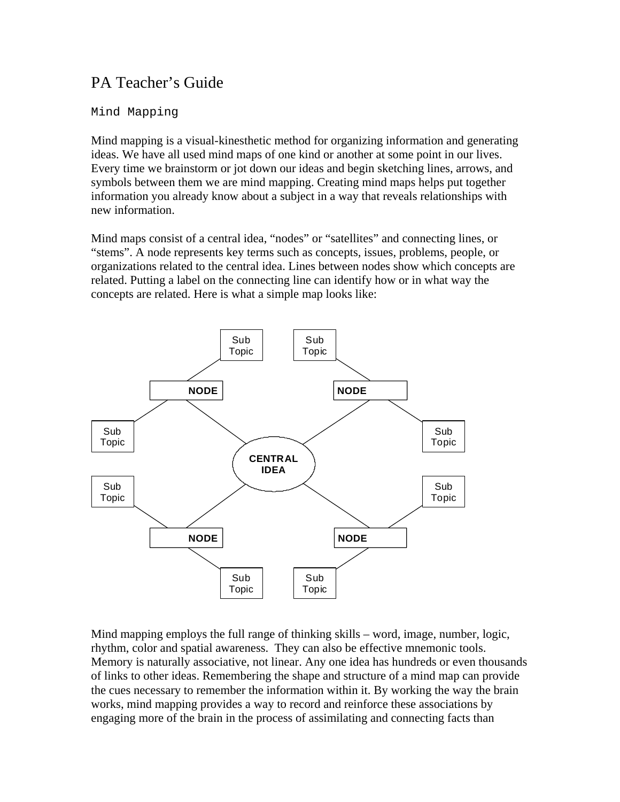# PA Teacher's Guide

### Mind Mapping

Mind mapping is a visual-kinesthetic method for organizing information and generating ideas. We have all used mind maps of one kind or another at some point in our lives. Every time we brainstorm or jot down our ideas and begin sketching lines, arrows, and symbols between them we are mind mapping. Creating mind maps helps put together information you already know about a subject in a way that reveals relationships with new information.

Mind maps consist of a central idea, "nodes" or "satellites" and connecting lines, or "stems". A node represents key terms such as concepts, issues, problems, people, or organizations related to the central idea. Lines between nodes show which concepts are related. Putting a label on the connecting line can identify how or in what way the concepts are related. Here is what a simple map looks like:



Mind mapping employs the full range of thinking skills – word, image, number, logic, rhythm, color and spatial awareness. They can also be effective mnemonic tools. Memory is naturally associative, not linear. Any one idea has hundreds or even thousands of links to other ideas. Remembering the shape and structure of a mind map can provide the cues necessary to remember the information within it. By working the way the brain works, mind mapping provides a way to record and reinforce these associations by engaging more of the brain in the process of assimilating and connecting facts than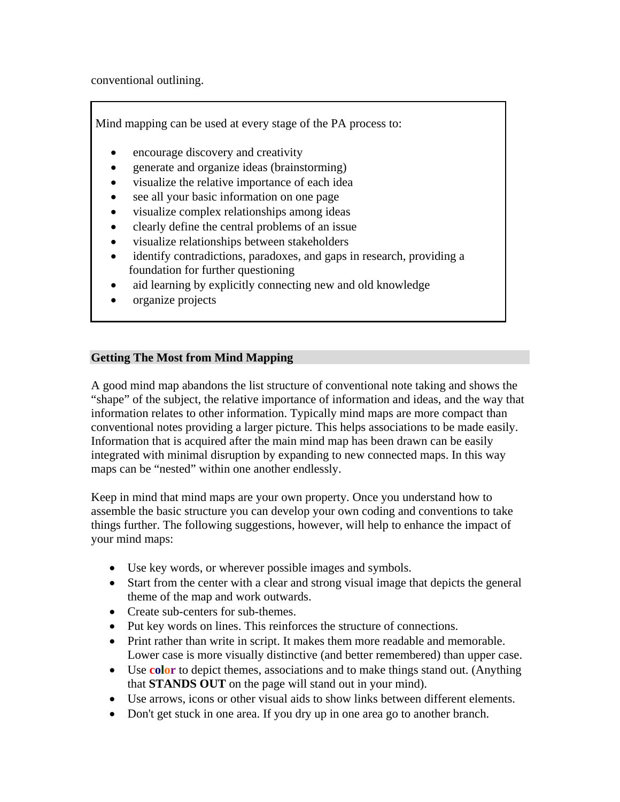conventional outlining.

Mind mapping can be used at every stage of the PA process to:

- encourage discovery and creativity
- generate and organize ideas (brainstorming)
- visualize the relative importance of each idea
- see all your basic information on one page
- visualize complex relationships among ideas
- clearly define the central problems of an issue
- visualize relationships between stakeholders
- identify contradictions, paradoxes, and gaps in research, providing a foundation for further questioning
- aid learning by explicitly connecting new and old knowledge
- organize projects

### **Getting The Most from Mind Mapping**

A good mind map abandons the list structure of conventional note taking and shows the "shape" of the subject, the relative importance of information and ideas, and the way that information relates to other information. Typically mind maps are more compact than conventional notes providing a larger picture. This helps associations to be made easily. Information that is acquired after the main mind map has been drawn can be easily integrated with minimal disruption by expanding to new connected maps. In this way maps can be "nested" within one another endlessly.

Keep in mind that mind maps are your own property. Once you understand how to assemble the basic structure you can develop your own coding and conventions to take things further. The following suggestions, however, will help to enhance the impact of your mind maps:

- Use key words, or wherever possible images and symbols.
- Start from the center with a clear and strong visual image that depicts the general theme of the map and work outwards.
- Create sub-centers for sub-themes.
- Put key words on lines. This reinforces the structure of connections.
- Print rather than write in script. It makes them more readable and memorable. Lower case is more visually distinctive (and better remembered) than upper case.
- Use **color** to depict themes, associations and to make things stand out. (Anything that **STANDS OUT** on the page will stand out in your mind).
- Use arrows, icons or other visual aids to show links between different elements.
- Don't get stuck in one area. If you dry up in one area go to another branch.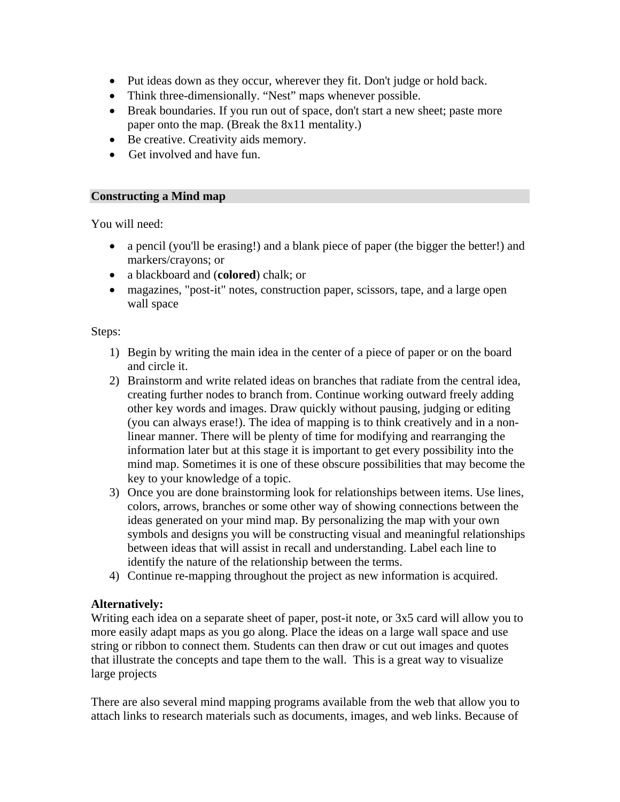- Put ideas down as they occur, wherever they fit. Don't judge or hold back.
- Think three-dimensionally. "Nest" maps whenever possible.
- Break boundaries. If you run out of space, don't start a new sheet; paste more paper onto the map. (Break the 8x11 mentality.)
- Be creative. Creativity aids memory.
- Get involved and have fun.

### **Constructing a Mind map**

You will need:

- a pencil (you'll be erasing!) and a blank piece of paper (the bigger the better!) and markers/crayons; or
- a blackboard and (**colored**) chalk; or
- magazines, "post-it" notes, construction paper, scissors, tape, and a large open wall space

Steps:

- 1) Begin by writing the main idea in the center of a piece of paper or on the board and circle it.
- 2) Brainstorm and write related ideas on branches that radiate from the central idea, creating further nodes to branch from. Continue working outward freely adding other key words and images. Draw quickly without pausing, judging or editing (you can always erase!). The idea of mapping is to think creatively and in a nonlinear manner. There will be plenty of time for modifying and rearranging the information later but at this stage it is important to get every possibility into the mind map. Sometimes it is one of these obscure possibilities that may become the key to your knowledge of a topic.
- 3) Once you are done brainstorming look for relationships between items. Use lines, colors, arrows, branches or some other way of showing connections between the ideas generated on your mind map. By personalizing the map with your own symbols and designs you will be constructing visual and meaningful relationships between ideas that will assist in recall and understanding. Label each line to identify the nature of the relationship between the terms.
- 4) Continue re-mapping throughout the project as new information is acquired.

# **Alternatively:**

Writing each idea on a separate sheet of paper, post-it note, or 3x5 card will allow you to more easily adapt maps as you go along. Place the ideas on a large wall space and use string or ribbon to connect them. Students can then draw or cut out images and quotes that illustrate the concepts and tape them to the wall. This is a great way to visualize large projects

There are also several mind mapping programs available from the web that allow you to attach links to research materials such as documents, images, and web links. Because of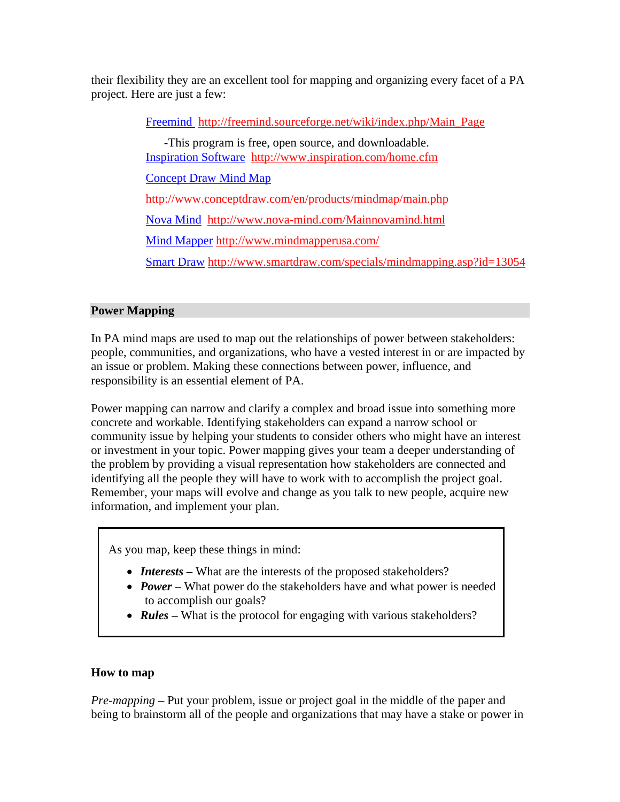their flexibility they are an excellent tool for mapping and organizing every facet of a PA project. Here are just a few:

Freemind http://freemind.sourceforge.net/wiki/index.php/Main\_Page

 -This program is free, open source, and downloadable. Inspiration Software http://www.inspiration.com/home.cfm Concept Draw Mind Map http://www.conceptdraw.com/en/products/mindmap/main.php Nova Mind http://www.nova-mind.com/Mainnovamind.html Mind Mapper http://www.mindmapperusa.com/ Smart Draw http://www.smartdraw.com/specials/mindmapping.asp?id=13054

# **Power Mapping**

In PA mind maps are used to map out the relationships of power between stakeholders: people, communities, and organizations, who have a vested interest in or are impacted by an issue or problem. Making these connections between power, influence, and responsibility is an essential element of PA.

Power mapping can narrow and clarify a complex and broad issue into something more concrete and workable. Identifying stakeholders can expand a narrow school or community issue by helping your students to consider others who might have an interest or investment in your topic. Power mapping gives your team a deeper understanding of the problem by providing a visual representation how stakeholders are connected and identifying all the people they will have to work with to accomplish the project goal. Remember, your maps will evolve and change as you talk to new people, acquire new information, and implement your plan.

As you map, keep these things in mind:

- *Interests* What are the interests of the proposed stakeholders?
- *Power* What power do the stakeholders have and what power is needed to accomplish our goals?
- **Rules** What is the protocol for engaging with various stakeholders?

# **How to map**

*Pre-mapping* **–** Put your problem, issue or project goal in the middle of the paper and being to brainstorm all of the people and organizations that may have a stake or power in